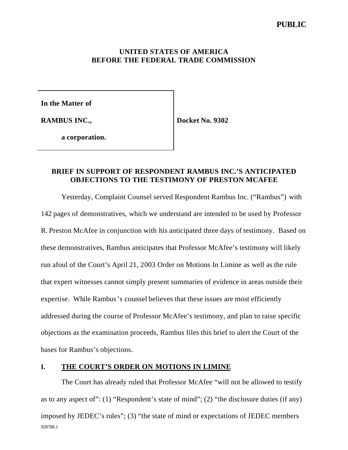## **PUBLIC**

### **UNITED STATES OF AMERICA BEFORE THE FEDERAL TRADE COMMISSION**

**In the Matter of**

**RAMBUS INC.,**

**Docket No. 9302**

**a corporation.**

### **BRIEF IN SUPPORT OF RESPONDENT RAMBUS INC.'S ANTICIPATED OBJECTIONS TO THE TESTIMONY OF PRESTON MCAFEE**

Yesterday, Complaint Counsel served Respondent Rambus Inc. ("Rambus") with 142 pages of demonstratives, which we understand are intended to be used by Professor R. Preston McAfee in conjunction with his anticipated three days of testimony. Based on these demonstratives, Rambus anticipates that Professor McAfee's testimony will likely run afoul of the Court's April 21, 2003 Order on Motions In Limine as well as the rule that expert witnesses cannot simply present summaries of evidence in areas outside their expertise. While Rambus's counsel believes that these issues are most efficiently addressed during the course of Professor McAfee's testimony, and plan to raise specific objections as the examination proceeds, Rambus files this brief to alert the Court of the bases for Rambus's objections.

### **I. THE COURT'S ORDER ON MOTIONS IN LIMINE**

928788.1 The Court has already ruled that Professor McAfee "will not be allowed to testify as to any aspect of": (1) "Respondent's state of mind"; (2) "the disclosure duties (if any) imposed by JEDEC's rules"; (3) "the state of mind or expectations of JEDEC members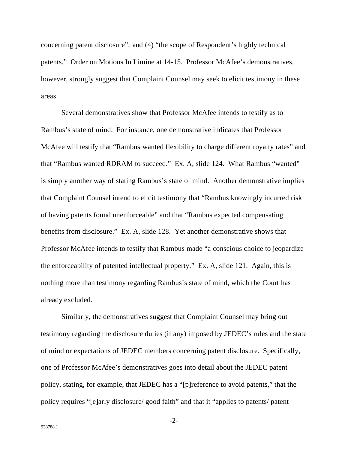concerning patent disclosure"; and (4) "the scope of Respondent's highly technical patents." Order on Motions In Limine at 14-15. Professor McAfee's demonstratives, however, strongly suggest that Complaint Counsel may seek to elicit testimony in these areas.

Several demonstratives show that Professor McAfee intends to testify as to Rambus's state of mind. For instance, one demonstrative indicates that Professor McAfee will testify that "Rambus wanted flexibility to charge different royalty rates" and that "Rambus wanted RDRAM to succeed." Ex. A, slide 124. What Rambus "wanted" is simply another way of stating Rambus's state of mind. Another demonstrative implies that Complaint Counsel intend to elicit testimony that "Rambus knowingly incurred risk of having patents found unenforceable" and that "Rambus expected compensating benefits from disclosure." Ex. A, slide 128. Yet another demonstrative shows that Professor McAfee intends to testify that Rambus made "a conscious choice to jeopardize the enforceability of patented intellectual property." Ex. A, slide 121. Again, this is nothing more than testimony regarding Rambus's state of mind, which the Court has already excluded.

Similarly, the demonstratives suggest that Complaint Counsel may bring out testimony regarding the disclosure duties (if any) imposed by JEDEC's rules and the state of mind or expectations of JEDEC members concerning patent disclosure. Specifically, one of Professor McAfee's demonstratives goes into detail about the JEDEC patent policy, stating, for example, that JEDEC has a "[p]reference to avoid patents," that the policy requires "[e]arly disclosure/ good faith" and that it "applies to patents/ patent

-2-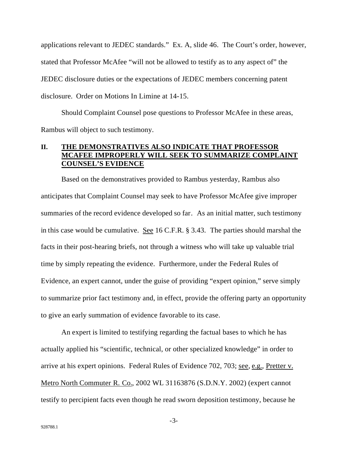applications relevant to JEDEC standards." Ex. A, slide 46. The Court's order, however, stated that Professor McAfee "will not be allowed to testify as to any aspect of" the JEDEC disclosure duties or the expectations of JEDEC members concerning patent disclosure. Order on Motions In Limine at 14-15.

Should Complaint Counsel pose questions to Professor McAfee in these areas, Rambus will object to such testimony.

## **II. THE DEMONSTRATIVES ALSO INDICATE THAT PROFESSOR MCAFEE IMPROPERLY WILL SEEK TO SUMMARIZE COMPLAINT COUNSEL'S EVIDENCE**

Based on the demonstratives provided to Rambus yesterday, Rambus also anticipates that Complaint Counsel may seek to have Professor McAfee give improper summaries of the record evidence developed so far. As an initial matter, such testimony in this case would be cumulative. See 16 C.F.R. § 3.43. The parties should marshal the facts in their post-hearing briefs, not through a witness who will take up valuable trial time by simply repeating the evidence. Furthermore, under the Federal Rules of Evidence, an expert cannot, under the guise of providing "expert opinion," serve simply to summarize prior fact testimony and, in effect, provide the offering party an opportunity to give an early summation of evidence favorable to its case.

An expert is limited to testifying regarding the factual bases to which he has actually applied his "scientific, technical, or other specialized knowledge" in order to arrive at his expert opinions. Federal Rules of Evidence 702, 703; see, e.g., Pretter v. Metro North Commuter R. Co., 2002 WL 31163876 (S.D.N.Y. 2002) (expert cannot testify to percipient facts even though he read sworn deposition testimony, because he

-3-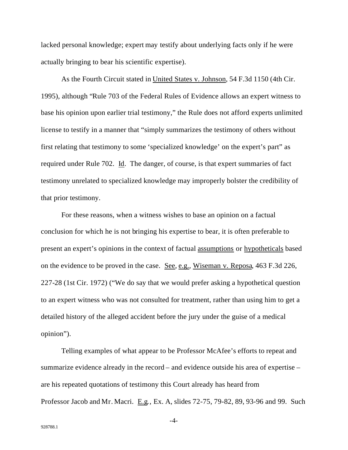lacked personal knowledge; expert may testify about underlying facts only if he were actually bringing to bear his scientific expertise).

As the Fourth Circuit stated in United States v. Johnson, 54 F.3d 1150 (4th Cir. 1995), although "Rule 703 of the Federal Rules of Evidence allows an expert witness to base his opinion upon earlier trial testimony," the Rule does not afford experts unlimited license to testify in a manner that "simply summarizes the testimony of others without first relating that testimony to some 'specialized knowledge' on the expert's part" as required under Rule 702. Id. The danger, of course, is that expert summaries of fact testimony unrelated to specialized knowledge may improperly bolster the credibility of that prior testimony.

For these reasons, when a witness wishes to base an opinion on a factual conclusion for which he is not bringing his expertise to bear, it is often preferable to present an expert's opinions in the context of factual assumptions or hypotheticals based on the evidence to be proved in the case. See, e.g., Wiseman v. Reposa, 463 F.3d 226, 227-28 (1st Cir. 1972) ("We do say that we would prefer asking a hypothetical question to an expert witness who was not consulted for treatment, rather than using him to get a detailed history of the alleged accident before the jury under the guise of a medical opinion").

Telling examples of what appear to be Professor McAfee's efforts to repeat and summarize evidence already in the record – and evidence outside his area of expertise – are his repeated quotations of testimony this Court already has heard from Professor Jacob and Mr. Macri. E.g*.*, Ex. A, slides 72-75, 79-82, 89, 93-96 and 99. Such

-4-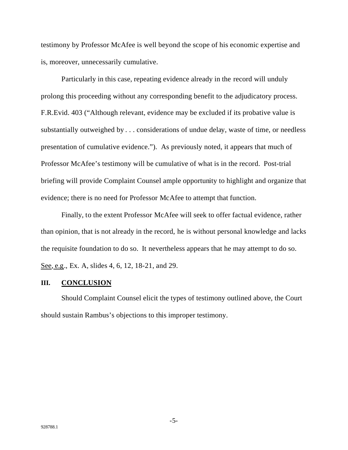testimony by Professor McAfee is well beyond the scope of his economic expertise and is, moreover, unnecessarily cumulative.

Particularly in this case, repeating evidence already in the record will unduly prolong this proceeding without any corresponding benefit to the adjudicatory process. F.R.Evid. 403 ("Although relevant, evidence may be excluded if its probative value is substantially outweighed by . . . considerations of undue delay, waste of time, or needless presentation of cumulative evidence."). As previously noted, it appears that much of Professor McAfee's testimony will be cumulative of what is in the record. Post-trial briefing will provide Complaint Counsel ample opportunity to highlight and organize that evidence; there is no need for Professor McAfee to attempt that function.

Finally, to the extent Professor McAfee will seek to offer factual evidence, rather than opinion, that is not already in the record, he is without personal knowledge and lacks the requisite foundation to do so. It nevertheless appears that he may attempt to do so. See*,* e.g., Ex. A, slides 4, 6, 12, 18-21, and 29.

#### **III. CONCLUSION**

Should Complaint Counsel elicit the types of testimony outlined above, the Court should sustain Rambus's objections to this improper testimony.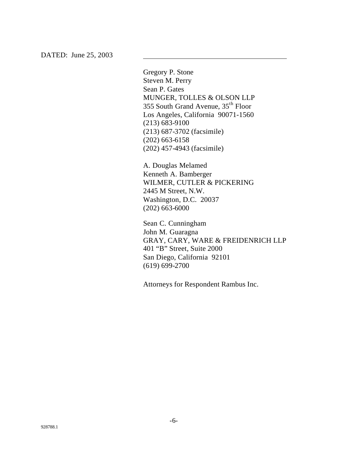DATED: June 25, 2003

Gregory P. Stone Steven M. Perry Sean P. Gates MUNGER, TOLLES & OLSON LLP 355 South Grand Avenue, 35th Floor Los Angeles, California 90071-1560 (213) 683-9100 (213) 687-3702 (facsimile) (202) 663-6158 (202) 457-4943 (facsimile)

A. Douglas Melamed Kenneth A. Bamberger WILMER, CUTLER & PICKERING 2445 M Street, N.W. Washington, D.C. 20037 (202) 663-6000

Sean C. Cunningham John M. Guaragna GRAY, CARY, WARE & FREIDENRICH LLP 401 "B" Street, Suite 2000 San Diego, California 92101 (619) 699-2700

Attorneys for Respondent Rambus Inc.